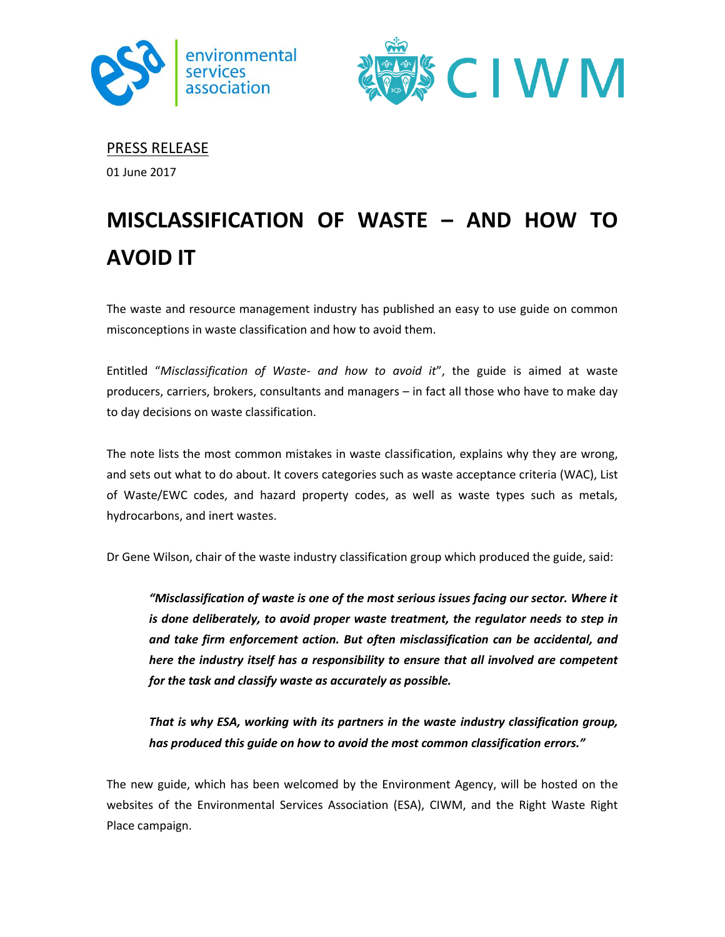



PRESS RELEASE

01 June 2017

## **MISCLASSIFICATION OF WASTE – AND HOW TO AVOID IT**

The waste and resource management industry has published an easy to use guide on common misconceptions in waste classification and how to avoid them.

Entitled "*Misclassification of Waste- and how to avoid it*", the guide is aimed at waste producers, carriers, brokers, consultants and managers – in fact all those who have to make day to day decisions on waste classification.

The note lists the most common mistakes in waste classification, explains why they are wrong, and sets out what to do about. It covers categories such as waste acceptance criteria (WAC), List of Waste/EWC codes, and hazard property codes, as well as waste types such as metals, hydrocarbons, and inert wastes.

Dr Gene Wilson, chair of the waste industry classification group which produced the guide, said:

*"Misclassification of waste is one of the most serious issues facing our sector. Where it is done deliberately, to avoid proper waste treatment, the regulator needs to step in and take firm enforcement action. But often misclassification can be accidental, and here the industry itself has a responsibility to ensure that all involved are competent for the task and classify waste as accurately as possible.* 

*That is why ESA, working with its partners in the waste industry classification group, has produced this guide on how to avoid the most common classification errors."*

The new guide, which has been welcomed by the Environment Agency, will be hosted on the websites of the Environmental Services Association (ESA), CIWM, and the Right Waste Right Place campaign.